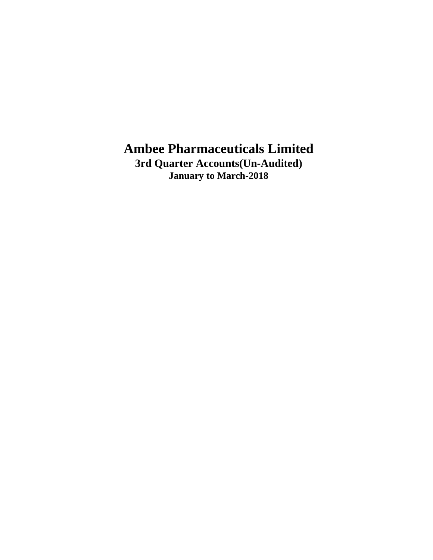**3rd Quarter Accounts(Un-Audited) January to March-2018**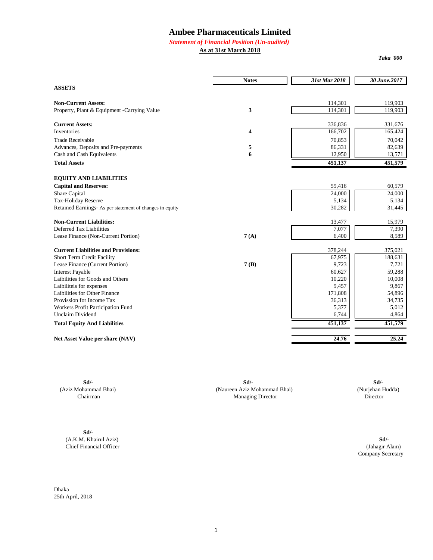#### *Statement of Financial Position (Un-audited)*

**As at 31st March 2018**

*Taka '000*

|                                                          | <b>Notes</b> | 31st Mar 2018 | 30 June.2017 |
|----------------------------------------------------------|--------------|---------------|--------------|
| <b>ASSETS</b>                                            |              |               |              |
| <b>Non-Current Assets:</b>                               |              | 114,301       | 119.903      |
| Property, Plant & Equipment - Carrying Value             | 3            | 114,301       | 119,903      |
| <b>Current Assets:</b>                                   |              | 336,836       | 331,676      |
| Inventories                                              | 4            | 166,702       | 165,424      |
| <b>Trade Receivable</b>                                  |              | 70,853        | 70,042       |
| Advances, Deposits and Pre-payments                      | 5            | 86,331        | 82,639       |
| Cash and Cash Equivalents                                | 6            | 12,950        | 13,571       |
| <b>Total Assets</b>                                      |              | 451,137       | 451,579      |
| <b>EQUITY AND LIABILITIES</b>                            |              |               |              |
| <b>Capital and Reserves:</b>                             |              | 59,416        | 60,579       |
| Share Capital                                            |              | 24,000        | 24,000       |
| Tax-Holiday Reserve                                      |              | 5,134         | 5,134        |
| Retained Earnings- As per statement of changes in equity |              | 30,282        | 31,445       |
| <b>Non-Current Liabilities:</b>                          |              | 13,477        | 15,979       |
| Deferred Tax Liabilities                                 |              | 7,077         | 7,390        |
| Lease Finance (Non-Current Portion)                      | 7(A)         | 6,400         | 8,589        |
| <b>Current Liabilities and Provisions:</b>               |              | 378,244       | 375,021      |
| Short Term Credit Facility                               |              | 67,975        | 188,631      |
| Lease Finance (Current Portion)                          | 7(B)         | 9,723         | 7,721        |
| <b>Interest Payable</b>                                  |              | 60,627        | 59,288       |
| Laibilities for Goods and Others                         |              | 10,220        | 10,008       |
| Laibiliteis for expenses                                 |              | 9,457         | 9,867        |
| Laibilities for Other Finance                            |              | 171,808       | 54,896       |
| Provission for Income Tax                                |              | 36,313        | 34,735       |
| Workers Profit Participation Fund                        |              | 5,377         | 5,012        |
| <b>Unclaim Dividend</b>                                  |              | 6,744         | 4,864        |
| <b>Total Equity And Liabilities</b>                      |              | 451,137       | 451,579      |
| Net Asset Value per share (NAV)                          |              | 24.76         | 25.24        |

**Sd/- Sd/- Sd/-** (Aziz Mohammad Bhai) (Naureen Aziz Mohammad Bhai) (Nurjehan Hudda) Managing Director

**Sd/-** (A.K.M. Khairul Aziz) **Sd/-** Chief Financial Officer

Company Secretary (Jahagir Alam)

Dhaka 25th April, 2018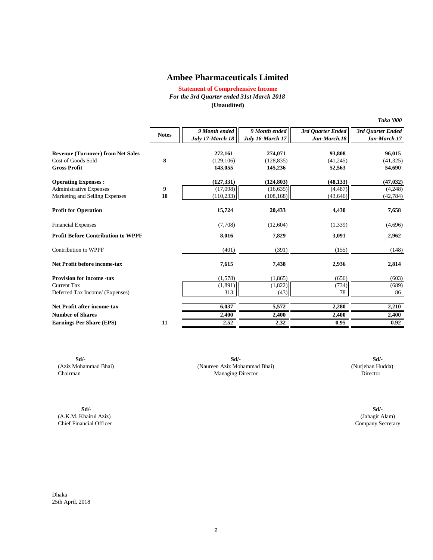**Statement of Comprehensive Income** *For the 3rd Quarter ended 31st March 2018* **(Unaudited)**

| 9 Month ended<br>9 Month ended<br>3rd Ouarter Ended<br>3rd Ouarter Ended<br><b>Notes</b><br>July 17-March 18<br>Jan-March.17<br>July 16-March 17<br>Jan-March.18<br><b>Revenue (Turnover) from Net Sales</b><br>272,161<br>93,808<br>96,015<br>274,071<br>8<br>Cost of Goods Sold<br>(129, 106)<br>(128, 835)<br>(41, 245)<br>(41, 325)<br><b>Gross Profit</b><br>143,055<br>145,236<br>52,563<br>54,690<br>(127, 331)<br>(124, 803)<br><b>Operating Expenses:</b><br>(48, 133)<br>(47, 032)<br>9<br>(4, 487)<br><b>Administrative Expenses</b><br>(17,098)<br>(16, 635)<br>(4,248)<br>Marketing and Selling Expenses<br>10<br>(110, 233)<br>(108, 168)<br>(43, 646)<br>(42, 784)<br><b>Profit for Operation</b><br>15,724<br>20,433<br>4,430<br>7,658<br>(7,708)<br><b>Financial Expenses</b><br>(12,604)<br>(1,339)<br>(4,696)<br><b>Profit Before Contribution to WPPF</b><br>8,016<br>7,829<br>3,091<br>2,962<br>Contribution to WPPF<br>(401)<br>(391)<br>(155)<br>(148)<br>Net Profit before income-tax<br>7,615<br>2,814<br>7,438<br>2,936<br><b>Provision for income -tax</b><br>(1,578)<br>(1,865)<br>(656)<br>(603)<br>(1,822)<br>(734)<br><b>Current Tax</b><br>(1,891)<br>(689)<br>78<br>313<br>86<br>Deferred Tax Income/ (Expenses)<br>(43)<br>Net Profit after income-tax<br>6.037<br>5,572<br>2,280<br>2,210<br><b>Number of Shares</b><br>2,400<br>2,400<br>2,400<br>2,400<br>0.95<br>2.52<br>2.32<br>0.92<br><b>Earnings Per Share (EPS)</b><br>11 |  |  | <b>Taka '000</b> |
|----------------------------------------------------------------------------------------------------------------------------------------------------------------------------------------------------------------------------------------------------------------------------------------------------------------------------------------------------------------------------------------------------------------------------------------------------------------------------------------------------------------------------------------------------------------------------------------------------------------------------------------------------------------------------------------------------------------------------------------------------------------------------------------------------------------------------------------------------------------------------------------------------------------------------------------------------------------------------------------------------------------------------------------------------------------------------------------------------------------------------------------------------------------------------------------------------------------------------------------------------------------------------------------------------------------------------------------------------------------------------------------------------------------------------------------------------------------------|--|--|------------------|
|                                                                                                                                                                                                                                                                                                                                                                                                                                                                                                                                                                                                                                                                                                                                                                                                                                                                                                                                                                                                                                                                                                                                                                                                                                                                                                                                                                                                                                                                      |  |  |                  |
|                                                                                                                                                                                                                                                                                                                                                                                                                                                                                                                                                                                                                                                                                                                                                                                                                                                                                                                                                                                                                                                                                                                                                                                                                                                                                                                                                                                                                                                                      |  |  |                  |
|                                                                                                                                                                                                                                                                                                                                                                                                                                                                                                                                                                                                                                                                                                                                                                                                                                                                                                                                                                                                                                                                                                                                                                                                                                                                                                                                                                                                                                                                      |  |  |                  |
|                                                                                                                                                                                                                                                                                                                                                                                                                                                                                                                                                                                                                                                                                                                                                                                                                                                                                                                                                                                                                                                                                                                                                                                                                                                                                                                                                                                                                                                                      |  |  |                  |
|                                                                                                                                                                                                                                                                                                                                                                                                                                                                                                                                                                                                                                                                                                                                                                                                                                                                                                                                                                                                                                                                                                                                                                                                                                                                                                                                                                                                                                                                      |  |  |                  |
|                                                                                                                                                                                                                                                                                                                                                                                                                                                                                                                                                                                                                                                                                                                                                                                                                                                                                                                                                                                                                                                                                                                                                                                                                                                                                                                                                                                                                                                                      |  |  |                  |
|                                                                                                                                                                                                                                                                                                                                                                                                                                                                                                                                                                                                                                                                                                                                                                                                                                                                                                                                                                                                                                                                                                                                                                                                                                                                                                                                                                                                                                                                      |  |  |                  |
|                                                                                                                                                                                                                                                                                                                                                                                                                                                                                                                                                                                                                                                                                                                                                                                                                                                                                                                                                                                                                                                                                                                                                                                                                                                                                                                                                                                                                                                                      |  |  |                  |
|                                                                                                                                                                                                                                                                                                                                                                                                                                                                                                                                                                                                                                                                                                                                                                                                                                                                                                                                                                                                                                                                                                                                                                                                                                                                                                                                                                                                                                                                      |  |  |                  |
|                                                                                                                                                                                                                                                                                                                                                                                                                                                                                                                                                                                                                                                                                                                                                                                                                                                                                                                                                                                                                                                                                                                                                                                                                                                                                                                                                                                                                                                                      |  |  |                  |
|                                                                                                                                                                                                                                                                                                                                                                                                                                                                                                                                                                                                                                                                                                                                                                                                                                                                                                                                                                                                                                                                                                                                                                                                                                                                                                                                                                                                                                                                      |  |  |                  |
|                                                                                                                                                                                                                                                                                                                                                                                                                                                                                                                                                                                                                                                                                                                                                                                                                                                                                                                                                                                                                                                                                                                                                                                                                                                                                                                                                                                                                                                                      |  |  |                  |
|                                                                                                                                                                                                                                                                                                                                                                                                                                                                                                                                                                                                                                                                                                                                                                                                                                                                                                                                                                                                                                                                                                                                                                                                                                                                                                                                                                                                                                                                      |  |  |                  |
|                                                                                                                                                                                                                                                                                                                                                                                                                                                                                                                                                                                                                                                                                                                                                                                                                                                                                                                                                                                                                                                                                                                                                                                                                                                                                                                                                                                                                                                                      |  |  |                  |
|                                                                                                                                                                                                                                                                                                                                                                                                                                                                                                                                                                                                                                                                                                                                                                                                                                                                                                                                                                                                                                                                                                                                                                                                                                                                                                                                                                                                                                                                      |  |  |                  |
|                                                                                                                                                                                                                                                                                                                                                                                                                                                                                                                                                                                                                                                                                                                                                                                                                                                                                                                                                                                                                                                                                                                                                                                                                                                                                                                                                                                                                                                                      |  |  |                  |
|                                                                                                                                                                                                                                                                                                                                                                                                                                                                                                                                                                                                                                                                                                                                                                                                                                                                                                                                                                                                                                                                                                                                                                                                                                                                                                                                                                                                                                                                      |  |  |                  |
|                                                                                                                                                                                                                                                                                                                                                                                                                                                                                                                                                                                                                                                                                                                                                                                                                                                                                                                                                                                                                                                                                                                                                                                                                                                                                                                                                                                                                                                                      |  |  |                  |
|                                                                                                                                                                                                                                                                                                                                                                                                                                                                                                                                                                                                                                                                                                                                                                                                                                                                                                                                                                                                                                                                                                                                                                                                                                                                                                                                                                                                                                                                      |  |  |                  |

**Sd/- Sd/-** (Aziz Mohammad Bhai) (Nurjehan Hudda) (Naureen Aziz Mohammad Bhai) Chairman Director Managing Director **Sd/-**

**Sd/- Sd/-** (A.K.M. Khairul Aziz) (Jahagir Alam) Chief Financial Officer

Dhaka 25th April, 2018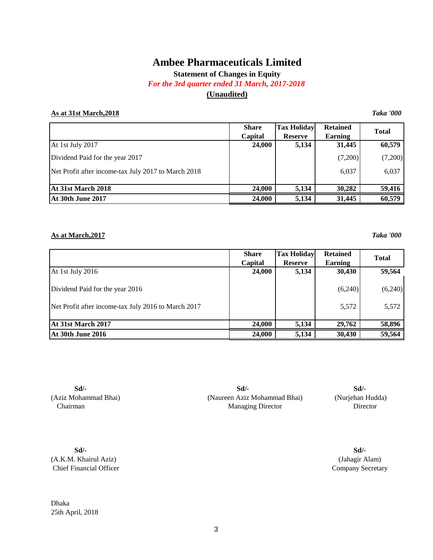**Statement of Changes in Equity**

*For the 3rd quarter ended 31 March, 2017-2018*

## **(Unaudited)**

### **As at 31st March,2018** *Taka '000*

|                                                     | <b>Share</b> | <b>Tax Holiday</b> | <b>Retained</b> | <b>Total</b> |  |
|-----------------------------------------------------|--------------|--------------------|-----------------|--------------|--|
|                                                     | Capital      | <b>Reserve</b>     | Earning         |              |  |
| At 1st July 2017                                    | 24,000       | 5,134              | 31,445          | 60,579       |  |
| Dividend Paid for the year 2017                     |              |                    | (7,200)         | (7,200)      |  |
| Net Profit after income-tax July 2017 to March 2018 |              |                    | 6,037           | 6,037        |  |
|                                                     |              |                    |                 |              |  |
| At 31st March 2018                                  | 24,000       | 5,134              | 30,282          | 59,416       |  |
| <b>At 30th June 2017</b>                            | 24,000       | 5,134              | 31,445          | 60,579       |  |

#### **As at March,2017** *Taka '000*

|                                                     | <b>Share</b><br>Capital | <b>Tax Holiday</b><br><b>Reserve</b> | <b>Retained</b><br>Earning | <b>Total</b> |
|-----------------------------------------------------|-------------------------|--------------------------------------|----------------------------|--------------|
| At 1st July 2016                                    | 24,000                  | 5,134                                | 30,430                     | 59,564       |
| Dividend Paid for the year 2016                     |                         |                                      | (6,240)                    | (6,240)      |
| Net Profit after income-tax July 2016 to March 2017 |                         |                                      | 5,572                      | 5,572        |
| At 31st March 2017                                  | 24,000                  | 5,134                                | 29,762                     | 58,896       |
| <b>At 30th June 2016</b>                            | 24,000                  | 5,134                                | 30,430                     | 59,564       |

**Sd/-** (Aziz Mohammad Bhai) Chairman

Managing Director Director (Naureen Aziz Mohammad Bhai) (Nurjehan Hudda) **Sd/- Sd/-**

**Sd/-** (A.K.M. Khairul Aziz) Chief Financial Officer

Dhaka 25th April, 2018

(Jahagir Alam) Company Secretary **Sd/-**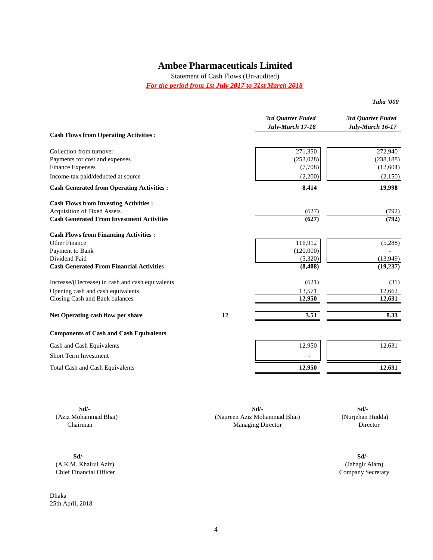Statement of Cash Flows (Un-audited)

*For the period from 1st July 2017 to 31st March 2018*

| Taka '000 |  |
|-----------|--|
|-----------|--|

|                                                           |    | 3rd Quarter Ended<br>July-March'17-18 | 3rd Quarter Ended<br>July-March'16-17 |
|-----------------------------------------------------------|----|---------------------------------------|---------------------------------------|
| <b>Cash Flows from Operating Activities :</b>             |    |                                       |                                       |
| Collection from turnover                                  |    | 271,350                               | 272,940                               |
| Payments for cost and expenses<br><b>Finance Expenses</b> |    | (253, 028)<br>(7,708)                 | (238, 188)<br>(12, 604)               |
| Income-tax paid/deducted at source                        |    | (2,200)                               | (2,150)                               |
| <b>Cash Generated from Operating Activities:</b>          |    | 8,414                                 | 19,998                                |
| <b>Cash Flows from Investing Activities:</b>              |    |                                       |                                       |
| <b>Acquisition of Fixed Assets</b>                        |    | (627)                                 | (792)                                 |
| <b>Cash Generated From Investment Activities</b>          |    | (627)                                 | (792)                                 |
| <b>Cash Flows from Financing Activities:</b>              |    |                                       |                                       |
| Other Finance                                             |    | 116,912                               | (5,288)                               |
| Payment to Bank                                           |    | (120,000)                             |                                       |
| Dividend Paid                                             |    | (5,320)                               | (13,949)                              |
| <b>Cash Generated From Financial Activities</b>           |    | (8, 408)                              | (19, 237)                             |
| Increase/(Decrease) in cash and cash equivalents          |    | (621)                                 | (31)                                  |
| Opening cash and cash equivalents                         |    | 13,571                                | 12,662                                |
| Closing Cash and Bank balances                            |    | 12,950                                | 12,631                                |
| Net Operating cash flow per share                         | 12 | 3.51                                  | 8.33                                  |
| <b>Components of Cash and Cash Equivalents</b>            |    |                                       |                                       |
| Cash and Cash Equivalents                                 |    | 12,950                                | 12,631                                |
| <b>Short Term Investment</b>                              |    |                                       |                                       |
| Total Cash and Cash Equivalents                           |    | 12,950                                | 12,631                                |

**Sd/- Sd/-**

Chief Financial Officer

Dhaka 25th April, 2018

**Sd/- Sd/-** (Aziz Mohammad Bhai) (Nurjehan Hudda) (Naureen Aziz Mohammad Bhai) Chairman Director **Chairman** Director **Director** Director **Director Director Sd/-**

(A.K.M. Khairul Aziz) (Jahagir Alam)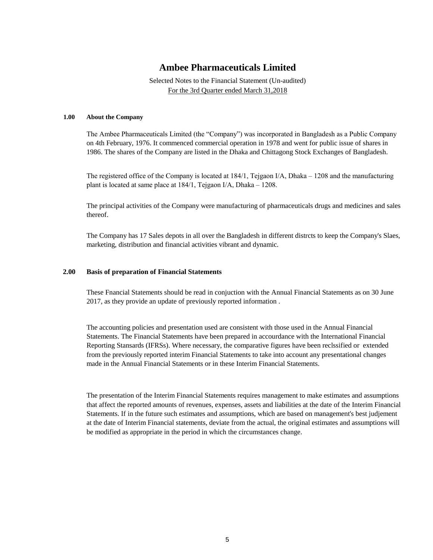Selected Notes to the Financial Statement (Un-audited) For the 3rd Quarter ended March 31,2018

#### **1.00 About the Company**

The Ambee Pharmaceuticals Limited (the "Company") was incorporated in Bangladesh as a Public Company on 4th February, 1976. It commenced commercial operation in 1978 and went for public issue of shares in 1986. The shares of the Company are listed in the Dhaka and Chittagong Stock Exchanges of Bangladesh.

The registered office of the Company is located at 184/1, Tejgaon I/A, Dhaka – 1208 and the manufacturing plant is located at same place at 184/1, Tejgaon I/A, Dhaka – 1208.

The principal activities of the Company were manufacturing of pharmaceuticals drugs and medicines and sales thereof.

The Company has 17 Sales depots in all over the Bangladesh in different distrcts to keep the Company's Slaes, marketing, distribution and financial activities vibrant and dynamic.

#### **2.00 Basis of preparation of Financial Statements**

These Fnancial Statements should be read in conjuction with the Annual Financial Statements as on 30 June 2017, as they provide an update of previously reported information .

The accounting policies and presentation used are consistent with those used in the Annual Financial Statements. The Financial Statements have been prepared in accourdance with the International Financial Reporting Stansards (IFRSs). Where necessary, the comparative figures have been reclssified or extended from the previously reported interim Financial Statements to take into account any presentational changes made in the Annual Financial Statements or in these Interim Financial Statements.

The presentation of the Interim Financial Statements requires management to make estimates and assumptions that affect the reported amounts of revenues, expenses, assets and liabilities at the date of the Interim Financial Statements. If in the future such estimates and assumptions, which are based on management's best judjement at the date of Interim Financial statements, deviate from the actual, the original estimates and assumptions will be modified as appropriate in the period in which the circumstances change.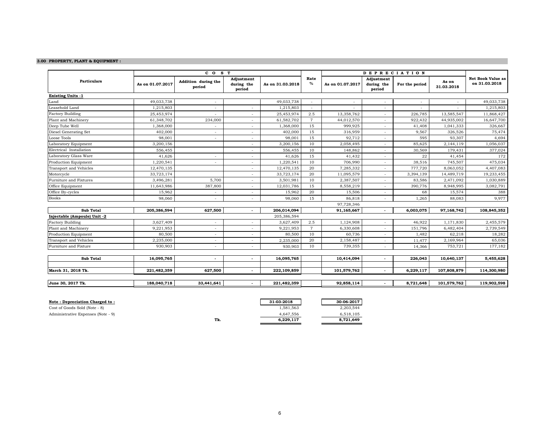#### **3.00 PROPERTY, PLANT & EQUIPMENT :**

| <b>Particulars</b><br><b>Existing Units -1</b> | As on 01.07.2017 | Addition during the      | Adjustment               |                  |                |                  |                                    |                |                     |                                           |
|------------------------------------------------|------------------|--------------------------|--------------------------|------------------|----------------|------------------|------------------------------------|----------------|---------------------|-------------------------------------------|
|                                                |                  | period                   | during the<br>period     | As on 31.03.2018 | Rate<br>%      | As on 01.07.2017 | Adjustment<br>during the<br>period | For the period | As on<br>31.03.2018 | <b>Net Book Value as</b><br>on 31.03.2018 |
|                                                |                  |                          |                          |                  |                |                  |                                    |                |                     |                                           |
| Land                                           | 49,033,738       |                          |                          | 49,033,738       |                |                  |                                    |                |                     | 49,033,738                                |
| Leasehold Land                                 | 1,215,803        |                          |                          | 1,215,803        |                |                  |                                    |                |                     | 1,215,803                                 |
| <b>Factory Building</b>                        | 25,453,974       |                          | $\overline{\phantom{a}}$ | 25,453,974       | 2.5            | 13,358,762       | $\sim$                             | 226,785        | 13,585,547          | 11,868,427                                |
| Plant and Machinery                            | 61,348,702       | 234,000                  | $\overline{\phantom{a}}$ | 61,582,702       | $\overline{7}$ | 44,012,570       | $\sim$                             | 922,432        | 44,935,002          | 16,647,700                                |
| Deep Tube Well                                 | 1,368,000        |                          | $\overline{\phantom{a}}$ | 1,368,000        | 15             | 999,925          |                                    | 41,408         | 1,041,333           | 326,667                                   |
| Diesel Generating Set                          | 402,000          |                          |                          | 402,000          | 15             | 316,959          |                                    | 9,567          | 326,526             | 75,474                                    |
| Loose Tools                                    | 98,001           | $\overline{\phantom{a}}$ | $\overline{\phantom{a}}$ | 98,001           | 15             | 92,712           | $\sim$                             | 595            | 93,307              | 4,694                                     |
| Laboratory Equipment                           | 3,200,156        |                          | $\overline{\phantom{a}}$ | 3,200,156        | 10             | 2,058,495        |                                    | 85,625         | 2,144,119           | 1,056,037                                 |
| Electrical Installation                        | 556,455          |                          | $\overline{\phantom{a}}$ | 556,455          | 10             | 148,862          |                                    | 30,569         | 179,431             | 377,024                                   |
| Laboratory Glass Ware                          | 41,626           | $\overline{\phantom{a}}$ | $\overline{\phantom{a}}$ | 41,626           | 15             | 41,432           | $\sim$                             | 22             | 41,454              | 172                                       |
| Production Equipment                           | 1,220,541        |                          | $\overline{\phantom{a}}$ | 1,220,541        | 10             | 706,990          |                                    | 38,516         | 745,507             | 475,034                                   |
| Transport and Vehicles                         | 12,470,135       |                          | $\overline{\phantom{a}}$ | 12,470,135       | 20             | 7,285,332        |                                    | 777,720        | 8,063,052           | 4,407,083                                 |
| Motorcycle                                     | 33,723,174       |                          |                          | 33,723,174       | 20             | 11,095,579       |                                    | 3,394,139      | 14,489,719          | 19,233,455                                |
| Furniture and Fixtures                         | 3,496,281        | 5,700                    | $\overline{\phantom{a}}$ | 3,501,981        | 10             | 2,387,507        | $\sim$                             | 83,586         | 2,471,092           | 1,030,889                                 |
| Office Equipment                               | 11,643,986       | 387,800                  | $\overline{\phantom{a}}$ | 12,031,786       | 15             | 8,558,219        |                                    | 390,776        | 8,948,995           | 3,082,791                                 |
| Office By-cycles                               | 15,962           | $\overline{\phantom{a}}$ | $\overline{\phantom{a}}$ | 15,962           | 20             | 15,506           | $\sim$                             | 68             | 15,574              | 388                                       |
| <b>Books</b>                                   | 98,060           |                          | $\overline{\phantom{a}}$ | 98,060           | 15             | 86,818           |                                    | 1,265          | 88,083              | 9,977                                     |
|                                                |                  |                          |                          |                  |                | 97,728,346       |                                    |                |                     |                                           |
| <b>Sub Total</b>                               | 205,386,594      | 627,500                  |                          | 206,014,094      |                | 91,165,667       |                                    | 6,003,075      | 97,168,742          | 108,845,352                               |
| Injectable (Ampoule) Unit -2                   |                  |                          |                          | 205,386,594      |                |                  |                                    |                |                     |                                           |
| <b>Factory Building</b>                        | 3,627,409        | $\overline{a}$           |                          | 3,627,409        | 2.5            | 1,124,908        |                                    | 46,922         | 1,171,830           | 2,455,579                                 |
| Plant and Machinery                            | 9,221,953        |                          |                          | 9,221,953        | $\overline{7}$ | 6,330,608        |                                    | 151,796        | 6,482,404           | 2,739,549                                 |
| Production Equipment                           | 80,500           |                          |                          | 80,500           | 10             | 60,736           |                                    | 1.482          | 62,218              | 18,282                                    |
| Transport and Vehicles                         | 2,235,000        | $\overline{\phantom{a}}$ |                          | 2,235,000        | 20             | 2,158,487        |                                    | 11,477         | 2,169,964           | 65,036                                    |
| Furniture and Fixture                          | 930,903          | $\overline{a}$           |                          | 930,903          | 10             | 739,355          |                                    | 14,366         | 753,721             | 177,182                                   |
| <b>Sub Total</b>                               | 16,095,765       | $\overline{\phantom{a}}$ | $\sim$                   | 16,095,765       |                | 10,414,094       |                                    | 226,043        | 10,640,137          | 5,455,628                                 |
| March 31, 2018 Tk.                             | 221,482,359      | 627,500                  |                          | 222,109,859      |                | 101,579,762      |                                    | 6,229,117      | 107,808,879         | 114,300,980                               |
| June 30, 2017 Tk.                              | 188,040,718      | 33,441,641               |                          | 221,482,359      |                | 92,858,114       |                                    | 8,721,648      | 101,579,762         | 119,902,598                               |

| Note : Depreciation Charged to :   |     | 31-03-2018 | 30-06-2017 |
|------------------------------------|-----|------------|------------|
| Cost of Goods Sold (Note - 8)      |     | 1.581.563  | 2.203.544  |
| Administrative Expenses (Note - 9) |     | 4.647.556  | 6.518.105  |
|                                    | Tk. | 6.229.117  | 8.721.649  |
|                                    |     |            |            |

 $\overline{8,721,649}$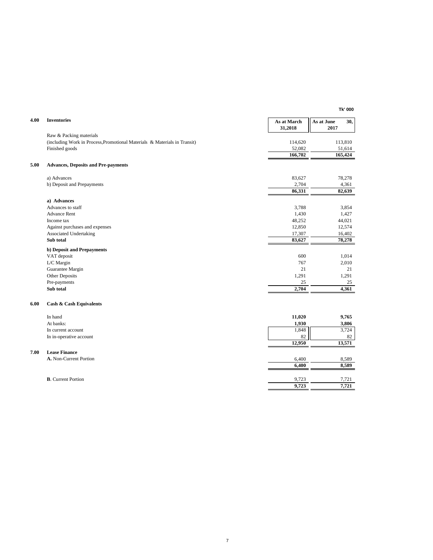| 4.00 | <b>Inventories</b>                                                        | As at March<br>31,2018 | As at June<br>30,<br>2017 |
|------|---------------------------------------------------------------------------|------------------------|---------------------------|
|      | Raw & Packing materials                                                   |                        |                           |
|      | (including Work in Process, Promotional Materials & Materials in Transit) | 114,620                | 113,810                   |
|      | Finished goods                                                            | 52,082                 | 51,614                    |
|      |                                                                           | 166,702                | 165,424                   |
| 5.00 | <b>Advances, Deposits and Pre-payments</b>                                |                        |                           |
|      | a) Advances                                                               | 83,627                 | 78,278                    |
|      | b) Deposit and Prepayments                                                | 2,704                  | 4,361                     |
|      |                                                                           | 86,331                 | 82,639                    |
|      | a) Advances                                                               |                        |                           |
|      | Advances to staff                                                         | 3,788                  | 3,854                     |
|      | <b>Advance Rent</b>                                                       | 1,430                  | 1,427                     |
|      | Income tax                                                                | 48,252                 | 44,021                    |
|      | Against purchases and expenses                                            | 12,850                 | 12,574                    |
|      | Associated Undertaking                                                    | 17,307                 | 16,402                    |
|      | Sub total                                                                 | 83,627                 | 78,278                    |
|      | <b>b)</b> Deposit and Prepayments                                         |                        |                           |
|      | VAT deposit                                                               | 600                    | 1,014                     |
|      | L/C Margin                                                                | 767                    | 2,010                     |
|      | Guarantee Margin                                                          | 21                     | 21                        |
|      | Other Deposits                                                            | 1,291                  | 1,291                     |
|      | Pre-payments                                                              | 25                     | 25                        |
|      | Sub total                                                                 | 2,704                  | 4,361                     |
| 6.00 | <b>Cash &amp; Cash Equivalents</b>                                        |                        |                           |
|      | In hand                                                                   | 11,020                 | 9,765                     |
|      | At banks:                                                                 | 1,930                  | 3,806                     |
|      | In current account                                                        | 1,848                  | 3,724                     |
|      | In in-operative account                                                   | 82                     | 82                        |
|      |                                                                           | 12,950                 | 13,571                    |
| 7.00 | <b>Lease Finance</b>                                                      |                        |                           |
|      | A. Non-Current Portion                                                    | 6,400                  | 8,589                     |
|      |                                                                           | 6,400                  | 8,589                     |
|      | <b>B.</b> Current Portion                                                 | 9,723                  | 7,721                     |
|      |                                                                           |                        |                           |
|      |                                                                           | 9,723                  | 7,721                     |